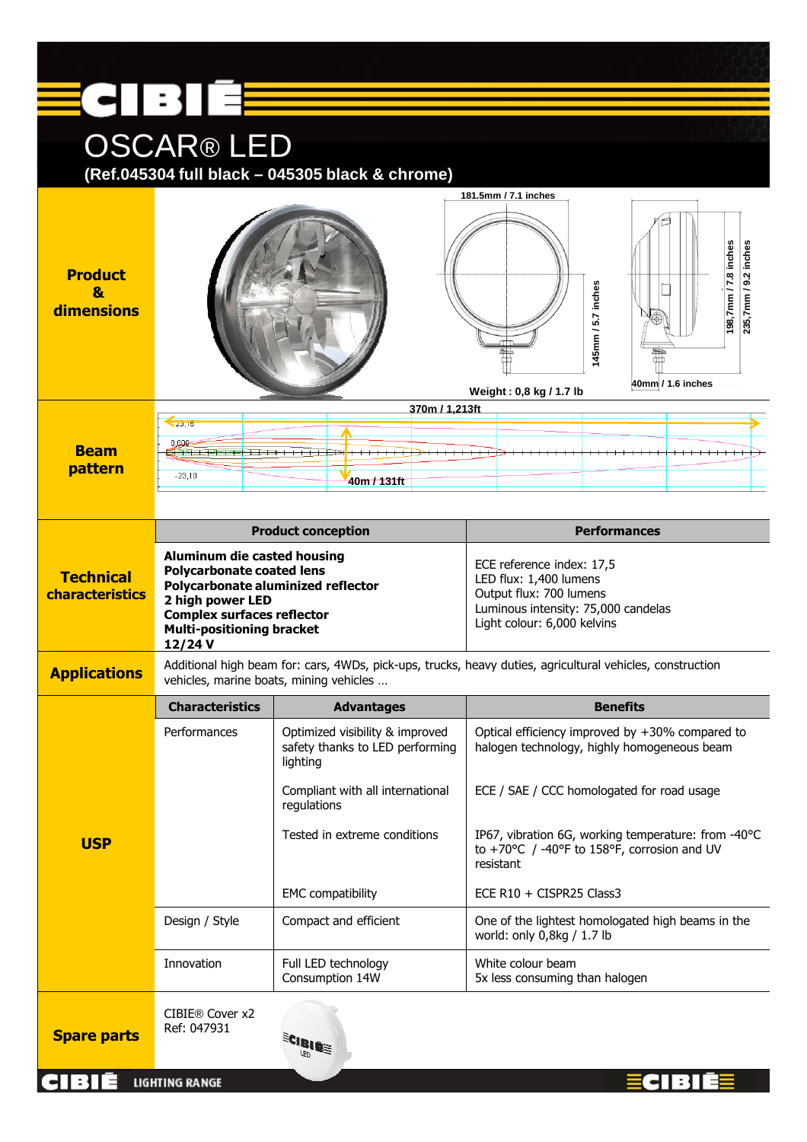|                                                                     | ECIBIÉE                                                                                                                                                                                                              |                                                                                |                                                                                                                                                      |  |
|---------------------------------------------------------------------|----------------------------------------------------------------------------------------------------------------------------------------------------------------------------------------------------------------------|--------------------------------------------------------------------------------|------------------------------------------------------------------------------------------------------------------------------------------------------|--|
| <b>OSCAR®LED</b><br>(Ref.045304 full black - 045305 black & chrome) |                                                                                                                                                                                                                      |                                                                                |                                                                                                                                                      |  |
| <b>Product</b><br>8<br>dimensions                                   |                                                                                                                                                                                                                      |                                                                                | 181,5mm / 7,1 inches<br>198,7mm / 7.8 inches<br>inches<br>235,7mm / 9.2<br>145mm / 5.7 inches<br>40mm / 1.6 inches<br>Weight: 0,8 kg / 1.7 lb        |  |
| <b>Beam</b><br>pattern                                              | 370m / 1,213ft<br>Z3,10<br>0.000<br>$-23,10$<br>40m / 131ft                                                                                                                                                          |                                                                                |                                                                                                                                                      |  |
|                                                                     |                                                                                                                                                                                                                      | <b>Product conception</b>                                                      | <b>Performances</b>                                                                                                                                  |  |
| <b>Technical</b><br>characteristics                                 | <b>Aluminum die casted housing</b><br><b>Polycarbonate coated lens</b><br>Polycarbonate aluminized reflector<br>2 high power LED<br><b>Complex surfaces reflector</b><br><b>Multi-positioning bracket</b><br>12/24 V |                                                                                | ECE reference index: 17,5<br>LED flux: 1,400 lumens<br>Output flux: 700 lumens<br>Luminous intensity: 75,000 candelas<br>Light colour: 6,000 kelvins |  |
| <b>Applications</b>                                                 | Additional high beam for: cars, 4WDs, pick-ups, trucks, heavy duties, agricultural vehicles, construction<br>vehicles, marine boats, mining vehicles                                                                 |                                                                                |                                                                                                                                                      |  |
|                                                                     | <b>Characteristics</b>                                                                                                                                                                                               | <b>Advantages</b>                                                              | <b>Benefits</b>                                                                                                                                      |  |
|                                                                     | Performances                                                                                                                                                                                                         | Optimized visibility & improved<br>safety thanks to LED performing<br>lighting | Optical efficiency improved by +30% compared to<br>halogen technology, highly homogeneous beam                                                       |  |
|                                                                     |                                                                                                                                                                                                                      | Compliant with all international<br>regulations                                | ECE / SAE / CCC homologated for road usage                                                                                                           |  |
| <b>USP</b>                                                          |                                                                                                                                                                                                                      | Tested in extreme conditions                                                   | IP67, vibration 6G, working temperature: from -40°C<br>to +70°C / -40°F to 158°F, corrosion and UV<br>resistant                                      |  |
|                                                                     |                                                                                                                                                                                                                      | <b>EMC</b> compatibility                                                       | ECE $R10 + CISPR25$ Class3                                                                                                                           |  |
|                                                                     | Design / Style                                                                                                                                                                                                       | Compact and efficient                                                          | One of the lightest homologated high beams in the<br>world: only 0,8kg / 1.7 lb                                                                      |  |
|                                                                     | Innovation                                                                                                                                                                                                           | Full LED technology<br>Consumption 14W                                         | White colour beam<br>5x less consuming than halogen                                                                                                  |  |
| <b>Spare parts</b>                                                  | CIBIE® Cover x2<br>Ref: 047931                                                                                                                                                                                       | ECIBIEE                                                                        |                                                                                                                                                      |  |
|                                                                     | LIGHTING RANGE                                                                                                                                                                                                       |                                                                                |                                                                                                                                                      |  |